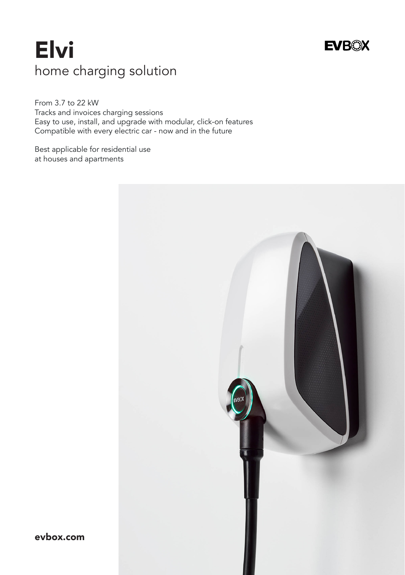# Elvi home charging solution

From 3.7 to 22 kW Tracks and invoices charging sessions Easy to use, install, and upgrade with modular, click-on features Compatible with every electric car - now and in the future

Best applicable for residential use at houses and apartments



**EVBOX** 

evbox.com